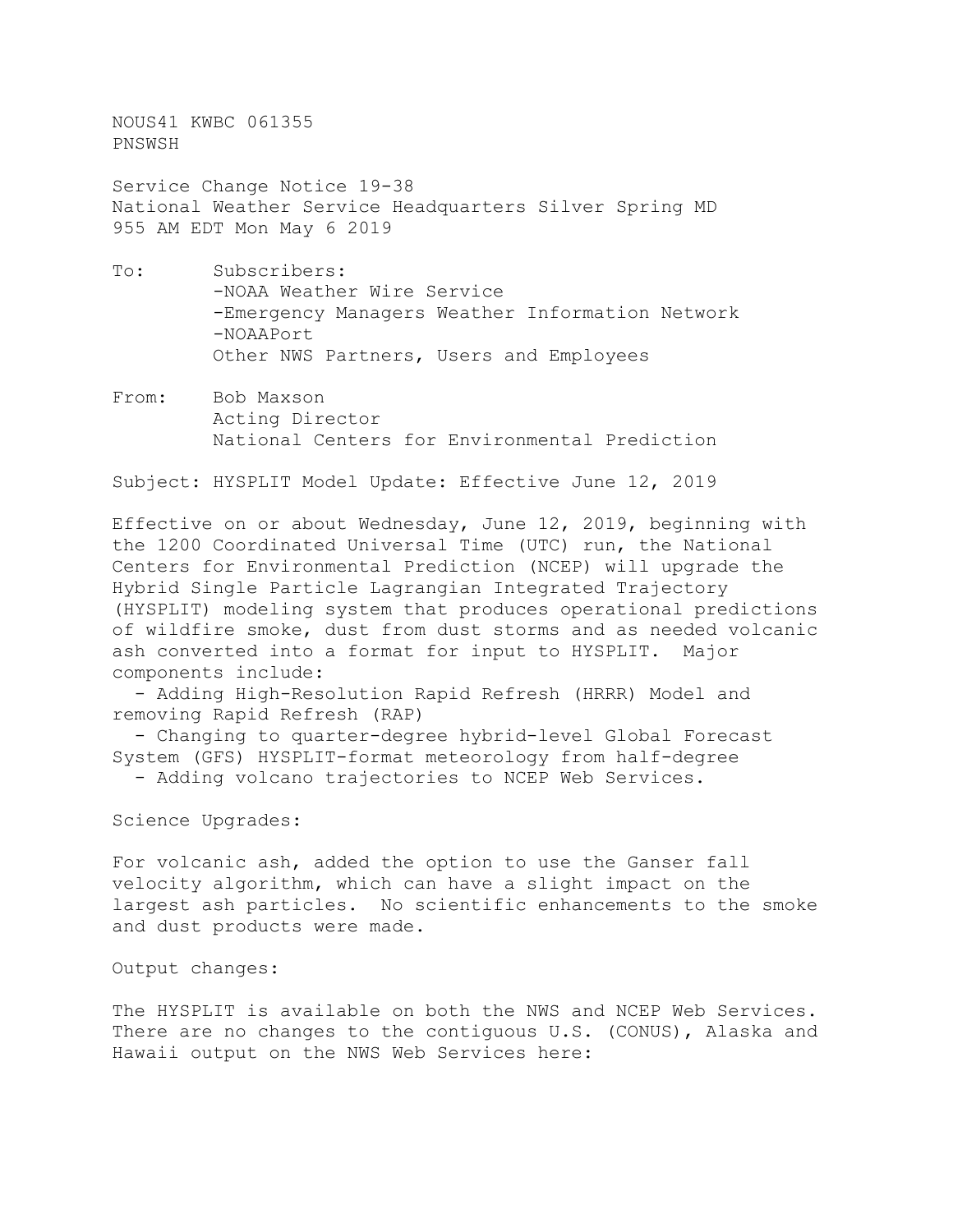NOUS41 KWBC 061355 PNSWSH

Service Change Notice 19-38 National Weather Service Headquarters Silver Spring MD 955 AM EDT Mon May 6 2019

- To: Subscribers: -NOAA Weather Wire Service -Emergency Managers Weather Information Network -NOAAPort Other NWS Partners, Users and Employees
- From: Bob Maxson Acting Director National Centers for Environmental Prediction

Subject: HYSPLIT Model Update: Effective June 12, 2019

Effective on or about Wednesday, June 12, 2019, beginning with the 1200 Coordinated Universal Time (UTC) run, the National Centers for Environmental Prediction (NCEP) will upgrade the Hybrid Single Particle Lagrangian Integrated Trajectory (HYSPLIT) modeling system that produces operational predictions of wildfire smoke, dust from dust storms and as needed volcanic ash converted into a format for input to HYSPLIT. Major components include:

 - Adding High-Resolution Rapid Refresh (HRRR) Model and removing Rapid Refresh (RAP)

 - Changing to quarter-degree hybrid-level Global Forecast System (GFS) HYSPLIT-format meteorology from half-degree

- Adding volcano trajectories to NCEP Web Services.

Science Upgrades:

For volcanic ash, added the option to use the Ganser fall velocity algorithm, which can have a slight impact on the largest ash particles. No scientific enhancements to the smoke and dust products were made.

Output changes:

The HYSPLIT is available on both the NWS and NCEP Web Services. There are no changes to the contiguous U.S. (CONUS), Alaska and Hawaii output on the NWS Web Services here: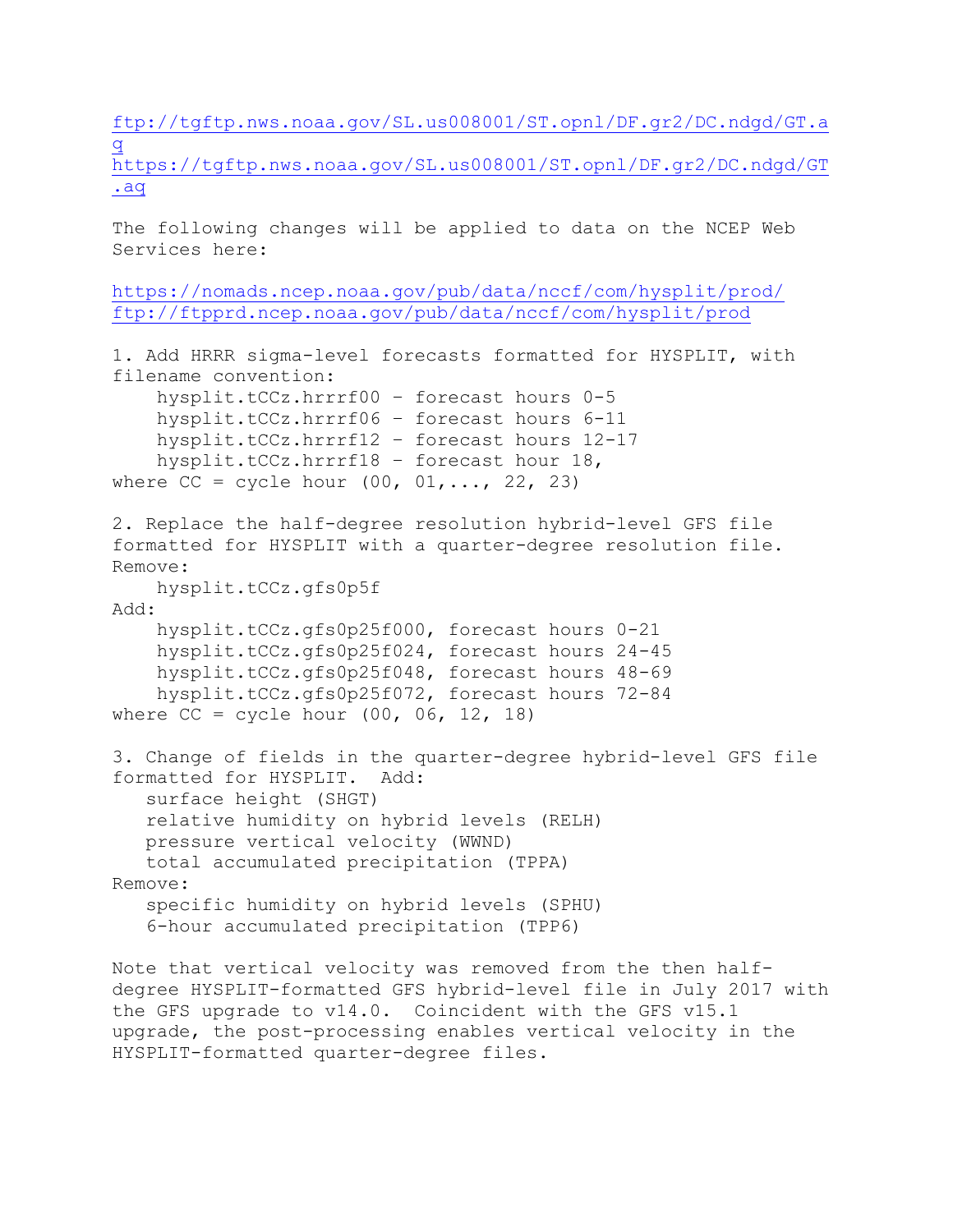[ftp://tgftp.nws.noaa.gov/SL.us008001/ST.opnl/DF.gr2/DC.ndgd/GT.a](ftp://tgftp.nws.noaa.gov/SL.us008001/ST.opnl/DF.gr2/DC.ndgd/GT.aq) [q](ftp://tgftp.nws.noaa.gov/SL.us008001/ST.opnl/DF.gr2/DC.ndgd/GT.aq) [https://tgftp.nws.noaa.gov/SL.us008001/ST.opnl/DF.gr2/DC.ndgd/GT](https://tgftp.nws.noaa.gov/SL.us008001/ST.opnl/DF.gr2/DC.ndgd/GT.aq)

[.aq](https://tgftp.nws.noaa.gov/SL.us008001/ST.opnl/DF.gr2/DC.ndgd/GT.aq)

The following changes will be applied to data on the NCEP Web Services here:

```
https://nomads.ncep.noaa.gov/pub/data/nccf/com/hysplit/prod/
ftp://ftpprd.ncep.noaa.gov/pub/data/nccf/com/hysplit/prod
```

```
1. Add HRRR sigma-level forecasts formatted for HYSPLIT, with 
filename convention:
    hysplit.tCCz.hrrrf00 – forecast hours 0-5
    hysplit.tCCz.hrrrf06 – forecast hours 6-11
    hysplit.tCCz.hrrrf12 – forecast hours 12-17
    hysplit.tCCz.hrrrf18 – forecast hour 18,
where CC = cycle hour (00, 01, ..., 22, 23)2. Replace the half-degree resolution hybrid-level GFS file 
formatted for HYSPLIT with a quarter-degree resolution file. 
Remove:
    hysplit.tCCz.gfs0p5f
Add:
    hysplit.tCCz.gfs0p25f000, forecast hours 0-21
    hysplit.tCCz.gfs0p25f024, forecast hours 24-45
    hysplit.tCCz.gfs0p25f048, forecast hours 48-69
    hysplit.tCCz.gfs0p25f072, forecast hours 72-84
where CC = cycle hour (00, 06, 12, 18)3. Change of fields in the quarter-degree hybrid-level GFS file 
formatted for HYSPLIT.
    surface height (SHGT)
    relative humidity on hybrid levels (RELH)
    pressure vertical velocity (WWND)
    total accumulated precipitation (TPPA)
Remove:
    specific humidity on hybrid levels (SPHU)
    6-hour accumulated precipitation (TPP6)
Note that vertical velocity was removed from the then half-
degree HYSPLIT-formatted GFS hybrid-level file in July 2017 with 
the GFS upgrade to v14.0. Coincident with the GFS v15.1
```
upgrade, the post-processing enables vertical velocity in the

HYSPLIT-formatted quarter-degree files.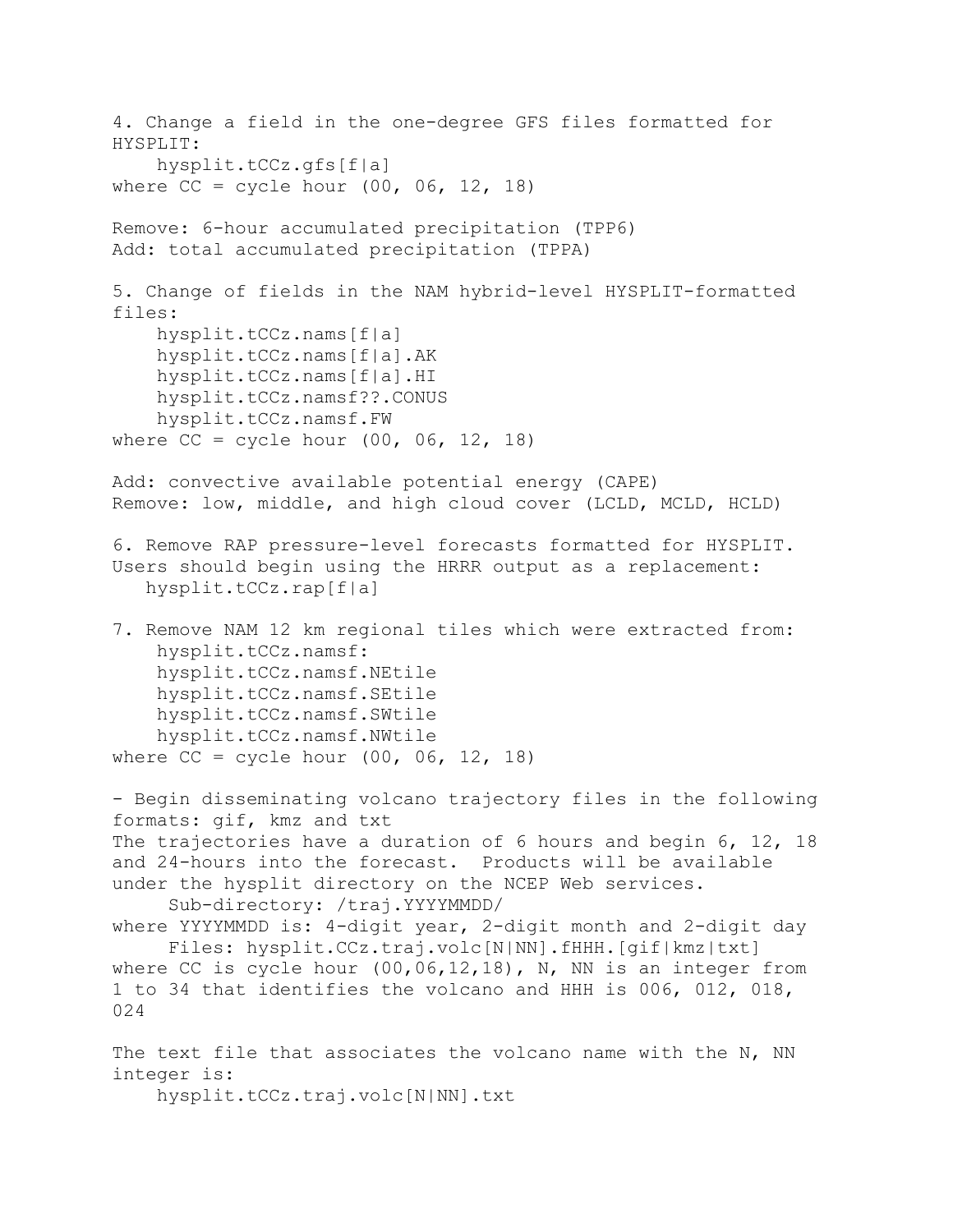```
4. Change a field in the one-degree GFS files formatted for 
HYSPLIT:
     hysplit.tCCz.gfs[f|a]
where CC = cycle hour (00, 06, 12, 18)Remove: 6-hour accumulated precipitation (TPP6)
Add: total accumulated precipitation (TPPA)
5. Change of fields in the NAM hybrid-level HYSPLIT-formatted 
files:
    hysplit.tCCz.nams[f|a]
    hysplit.tCCz.nams[f|a].AK
    hysplit.tCCz.nams[f|a].HI
    hysplit.tCCz.namsf??.CONUS
    hysplit.tCCz.namsf.FW
where CC = cycle hour (00, 06, 12, 18)Add: convective available potential energy (CAPE)
Remove: low, middle, and high cloud cover (LCLD, MCLD, HCLD)
6. Remove RAP pressure-level forecasts formatted for HYSPLIT. 
Users should begin using the HRRR output as a replacement:
    hysplit.tCCz.rap[f|a]
7. Remove NAM 12 km regional tiles which were extracted from:
    hysplit.tCCz.namsf:
    hysplit.tCCz.namsf.NEtile
    hysplit.tCCz.namsf.SEtile
    hysplit.tCCz.namsf.SWtile
    hysplit.tCCz.namsf.NWtile
where CC = cycle hour (00, 06, 12, 18)- Begin disseminating volcano trajectory files in the following 
formats: gif, kmz and txt
The trajectories have a duration of 6 hours and begin 6, 12, 18 
and 24-hours into the forecast. Products will be available 
under the hysplit directory on the NCEP Web services.
      Sub-directory: /traj.YYYYMMDD/
where YYYYMMDD is: 4-digit year, 2-digit month and 2-digit day
      Files: hysplit.CCz.traj.volc[N|NN].fHHH.[gif|kmz|txt]
where CC is cycle hour (00,06,12,18), N, NN is an integer from
1 to 34 that identifies the volcano and HHH is 006, 012, 018,
024
The text file that associates the volcano name with the N, NN
integer is:
     hysplit.tCCz.traj.volc[N|NN].txt
```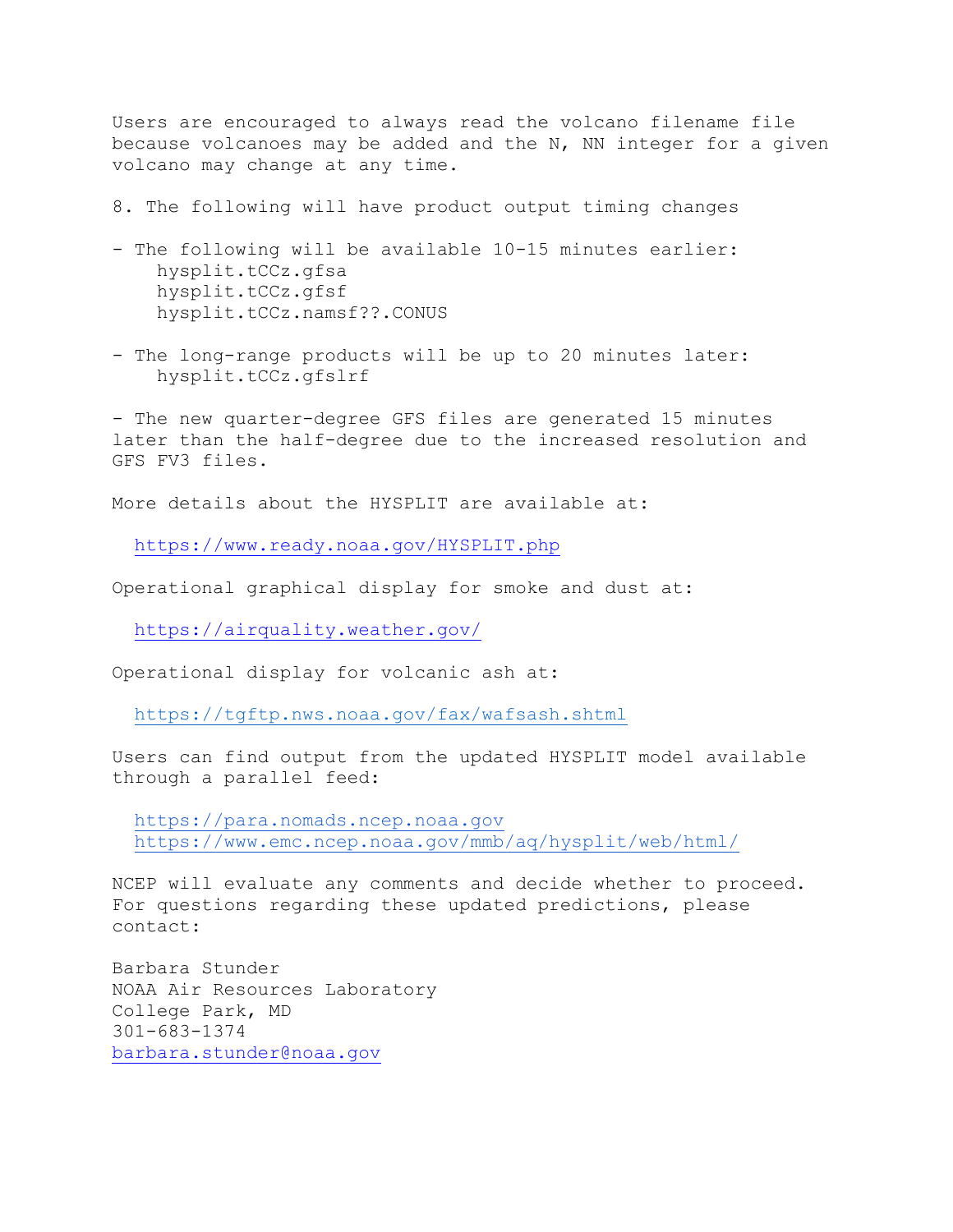Users are encouraged to always read the volcano filename file because volcanoes may be added and the N, NN integer for a given volcano may change at any time.

8. The following will have product output timing changes

- The following will be available 10-15 minutes earlier: hysplit.tCCz.gfsa hysplit.tCCz.gfsf hysplit.tCCz.namsf??.CONUS
- The long-range products will be up to 20 minutes later: hysplit.tCCz.gfslrf

- The new quarter-degree GFS files are generated 15 minutes later than the half-degree due to the increased resolution and GFS FV3 files.

More details about the HYSPLIT are available at:

[https://www.ready.noaa.gov/HYSPLIT.php](http://www.ready.noaa.gov/HYSPLIT.php)

Operational graphical display for smoke and dust at:

[https://airquality.weather.gov/](http://airquality.weather.gov/)

Operational display for volcanic ash at:

[https://tgftp.nws.noaa.gov/fax/wafsash.shtml](http://tgftp.nws.noaa.gov/fax/wafsash.shtml)

Users can find output from the updated HYSPLIT model available through a parallel feed:

 [https://para.nomads.ncep.noaa.gov](https://para.nomads.ncep.noaa.gov/) <https://www.emc.ncep.noaa.gov/mmb/aq/hysplit/web/html/>

NCEP will evaluate any comments and decide whether to proceed. For questions regarding these updated predictions, please contact:

Barbara Stunder NOAA Air Resources Laboratory College Park, MD 301-683-1374 [barbara.stunder@noaa.gov](mailto:barbara.stunder@noaa.gov)